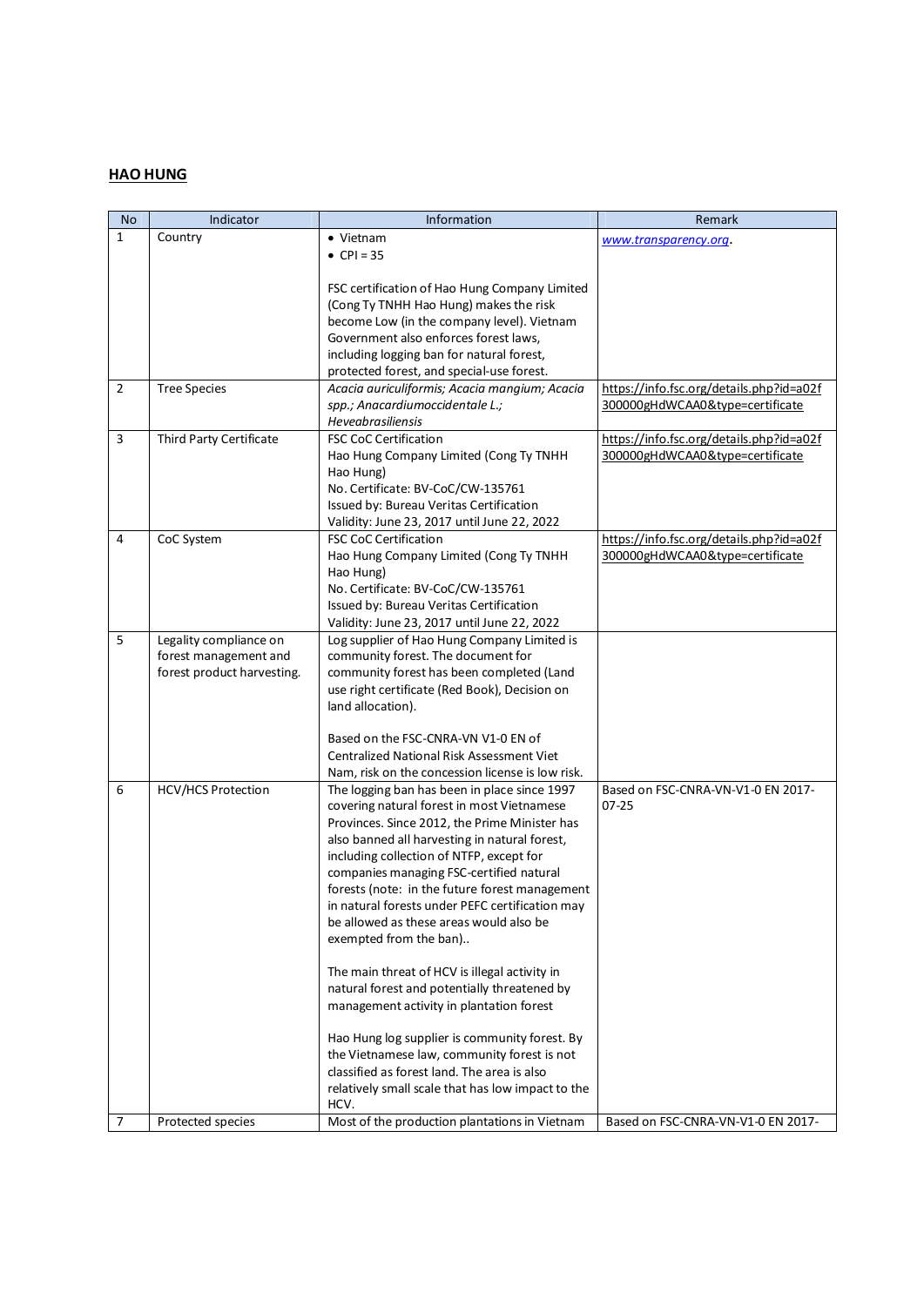## **HAO HUNG**

| <b>No</b>      | Indicator                  | Information                                                                                   | Remark                                   |
|----------------|----------------------------|-----------------------------------------------------------------------------------------------|------------------------------------------|
| 1              | Country                    | • Vietnam                                                                                     | www.transparency.org.                    |
|                |                            | • $CPI = 35$                                                                                  |                                          |
|                |                            |                                                                                               |                                          |
|                |                            | FSC certification of Hao Hung Company Limited                                                 |                                          |
|                |                            | (Cong Ty TNHH Hao Hung) makes the risk                                                        |                                          |
|                |                            | become Low (in the company level). Vietnam                                                    |                                          |
|                |                            | Government also enforces forest laws,                                                         |                                          |
|                |                            | including logging ban for natural forest,                                                     |                                          |
|                |                            | protected forest, and special-use forest.                                                     |                                          |
| $\overline{2}$ | <b>Tree Species</b>        | Acacia auriculiformis; Acacia mangium; Acacia                                                 | https://info.fsc.org/details.php?id=a02f |
|                |                            | spp.; Anacardiumoccidentale L.;                                                               | 300000gHdWCAA0&type=certificate          |
|                |                            | Heveabrasiliensis                                                                             |                                          |
| $\overline{3}$ | Third Party Certificate    | <b>FSC CoC Certification</b>                                                                  | https://info.fsc.org/details.php?id=a02f |
|                |                            | Hao Hung Company Limited (Cong Ty TNHH                                                        | 300000gHdWCAA0&type=certificate          |
|                |                            | Hao Hung)                                                                                     |                                          |
|                |                            | No. Certificate: BV-CoC/CW-135761                                                             |                                          |
|                |                            | Issued by: Bureau Veritas Certification                                                       |                                          |
| 4              |                            | Validity: June 23, 2017 until June 22, 2022<br><b>FSC CoC Certification</b>                   | https://info.fsc.org/details.php?id=a02f |
|                | CoC System                 | Hao Hung Company Limited (Cong Ty TNHH                                                        | 300000gHdWCAA0&type=certificate          |
|                |                            | Hao Hung)                                                                                     |                                          |
|                |                            | No. Certificate: BV-CoC/CW-135761                                                             |                                          |
|                |                            | Issued by: Bureau Veritas Certification                                                       |                                          |
|                |                            | Validity: June 23, 2017 until June 22, 2022                                                   |                                          |
| 5              | Legality compliance on     | Log supplier of Hao Hung Company Limited is                                                   |                                          |
|                | forest management and      | community forest. The document for                                                            |                                          |
|                | forest product harvesting. | community forest has been completed (Land                                                     |                                          |
|                |                            | use right certificate (Red Book), Decision on                                                 |                                          |
|                |                            | land allocation).                                                                             |                                          |
|                |                            |                                                                                               |                                          |
|                |                            | Based on the FSC-CNRA-VN V1-0 EN of                                                           |                                          |
|                |                            | <b>Centralized National Risk Assessment Viet</b>                                              |                                          |
|                |                            | Nam, risk on the concession license is low risk.                                              |                                          |
| 6              | HCV/HCS Protection         | The logging ban has been in place since 1997                                                  | Based on FSC-CNRA-VN-V1-0 EN 2017-       |
|                |                            | covering natural forest in most Vietnamese                                                    | $07 - 25$                                |
|                |                            | Provinces. Since 2012, the Prime Minister has                                                 |                                          |
|                |                            | also banned all harvesting in natural forest,                                                 |                                          |
|                |                            | including collection of NTFP, except for                                                      |                                          |
|                |                            | companies managing FSC-certified natural                                                      |                                          |
|                |                            | forests (note: in the future forest management                                                |                                          |
|                |                            | in natural forests under PEFC certification may                                               |                                          |
|                |                            | be allowed as these areas would also be                                                       |                                          |
|                |                            | exempted from the ban)                                                                        |                                          |
|                |                            |                                                                                               |                                          |
|                |                            | The main threat of HCV is illegal activity in<br>natural forest and potentially threatened by |                                          |
|                |                            | management activity in plantation forest                                                      |                                          |
|                |                            |                                                                                               |                                          |
|                |                            | Hao Hung log supplier is community forest. By                                                 |                                          |
|                |                            | the Vietnamese law, community forest is not                                                   |                                          |
|                |                            | classified as forest land. The area is also                                                   |                                          |
|                |                            | relatively small scale that has low impact to the                                             |                                          |
|                |                            | HCV.                                                                                          |                                          |
| 7              | Protected species          | Most of the production plantations in Vietnam                                                 | Based on FSC-CNRA-VN-V1-0 EN 2017-       |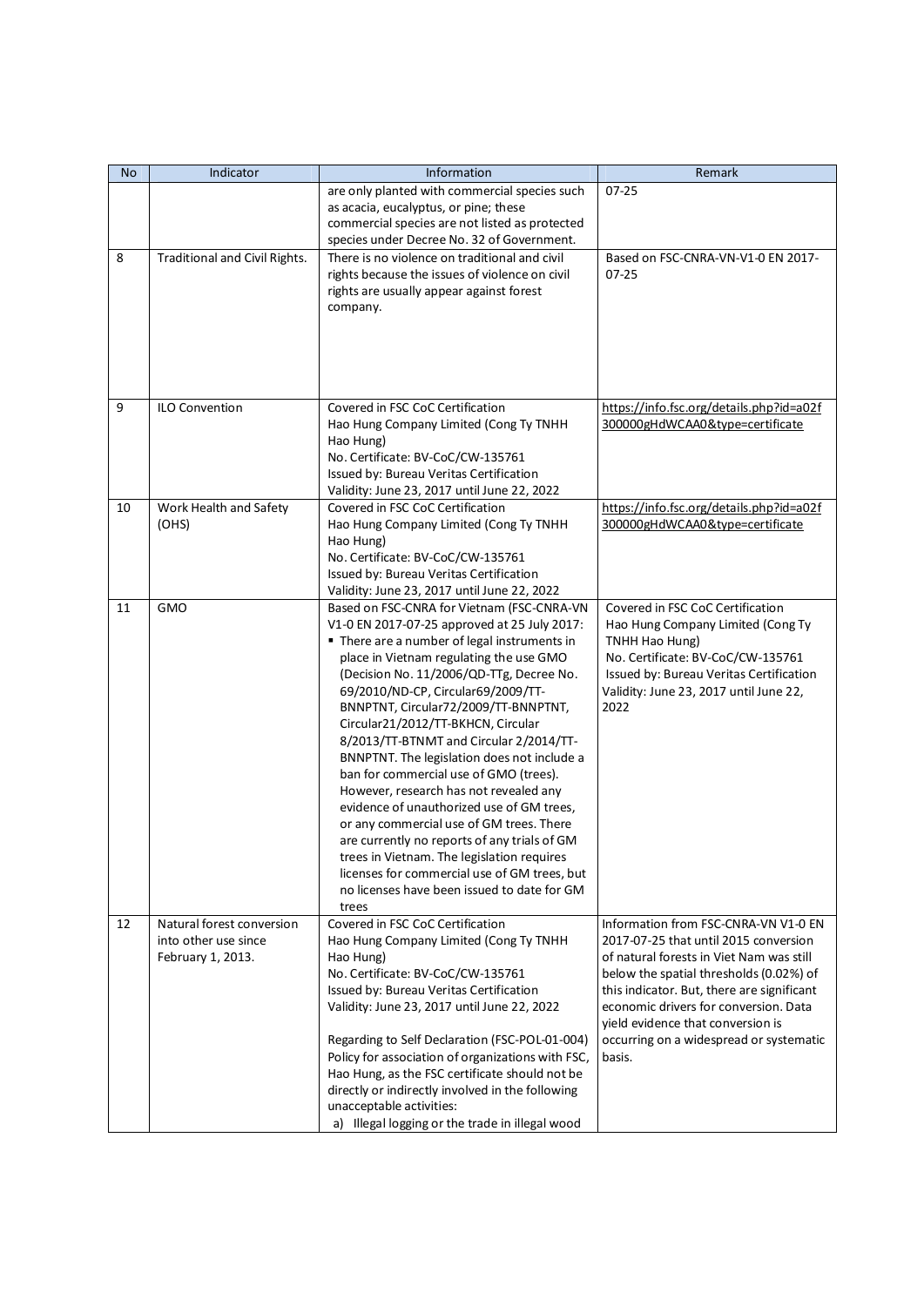| No | Indicator                                                              | Information                                                                                                                                                                                                                                                                                                                                                                                                                                                                                                                                                                                                                                                                                                                                                                                                                        | Remark                                                                                                                                                                                                                                                                                                                                                |
|----|------------------------------------------------------------------------|------------------------------------------------------------------------------------------------------------------------------------------------------------------------------------------------------------------------------------------------------------------------------------------------------------------------------------------------------------------------------------------------------------------------------------------------------------------------------------------------------------------------------------------------------------------------------------------------------------------------------------------------------------------------------------------------------------------------------------------------------------------------------------------------------------------------------------|-------------------------------------------------------------------------------------------------------------------------------------------------------------------------------------------------------------------------------------------------------------------------------------------------------------------------------------------------------|
|    |                                                                        | are only planted with commercial species such<br>as acacia, eucalyptus, or pine; these<br>commercial species are not listed as protected<br>species under Decree No. 32 of Government.                                                                                                                                                                                                                                                                                                                                                                                                                                                                                                                                                                                                                                             | $07 - 25$                                                                                                                                                                                                                                                                                                                                             |
| 8  | Traditional and Civil Rights.                                          | There is no violence on traditional and civil<br>rights because the issues of violence on civil<br>rights are usually appear against forest<br>company.                                                                                                                                                                                                                                                                                                                                                                                                                                                                                                                                                                                                                                                                            | Based on FSC-CNRA-VN-V1-0 EN 2017-<br>$07 - 25$                                                                                                                                                                                                                                                                                                       |
| 9  | ILO Convention                                                         | Covered in FSC CoC Certification<br>Hao Hung Company Limited (Cong Ty TNHH<br>Hao Hung)<br>No. Certificate: BV-CoC/CW-135761<br>Issued by: Bureau Veritas Certification<br>Validity: June 23, 2017 until June 22, 2022                                                                                                                                                                                                                                                                                                                                                                                                                                                                                                                                                                                                             | https://info.fsc.org/details.php?id=a02f<br>300000gHdWCAA0&type=certificate                                                                                                                                                                                                                                                                           |
| 10 | Work Health and Safety<br>(OHS)                                        | Covered in FSC CoC Certification<br>Hao Hung Company Limited (Cong Ty TNHH<br>Hao Hung)<br>No. Certificate: BV-CoC/CW-135761<br>Issued by: Bureau Veritas Certification<br>Validity: June 23, 2017 until June 22, 2022                                                                                                                                                                                                                                                                                                                                                                                                                                                                                                                                                                                                             | https://info.fsc.org/details.php?id=a02f<br>300000gHdWCAA0&type=certificate                                                                                                                                                                                                                                                                           |
| 11 | <b>GMO</b>                                                             | Based on FSC-CNRA for Vietnam (FSC-CNRA-VN<br>V1-0 EN 2017-07-25 approved at 25 July 2017:<br>" There are a number of legal instruments in<br>place in Vietnam regulating the use GMO<br>(Decision No. 11/2006/QD-TTg, Decree No.<br>69/2010/ND-CP, Circular69/2009/TT-<br>BNNPTNT, Circular72/2009/TT-BNNPTNT,<br>Circular21/2012/TT-BKHCN, Circular<br>8/2013/TT-BTNMT and Circular 2/2014/TT-<br>BNNPTNT. The legislation does not include a<br>ban for commercial use of GMO (trees).<br>However, research has not revealed any<br>evidence of unauthorized use of GM trees,<br>or any commercial use of GM trees. There<br>are currently no reports of any trials of GM<br>trees in Vietnam. The legislation requires<br>licenses for commercial use of GM trees, but<br>no licenses have been issued to date for GM<br>trees | Covered in FSC CoC Certification<br>Hao Hung Company Limited (Cong Ty<br>TNHH Hao Hung)<br>No. Certificate: BV-CoC/CW-135761<br>Issued by: Bureau Veritas Certification<br>Validity: June 23, 2017 until June 22,<br>2022                                                                                                                             |
| 12 | Natural forest conversion<br>into other use since<br>February 1, 2013. | Covered in FSC CoC Certification<br>Hao Hung Company Limited (Cong Ty TNHH<br>Hao Hung)<br>No. Certificate: BV-CoC/CW-135761<br>Issued by: Bureau Veritas Certification<br>Validity: June 23, 2017 until June 22, 2022<br>Regarding to Self Declaration (FSC-POL-01-004)<br>Policy for association of organizations with FSC,<br>Hao Hung, as the FSC certificate should not be<br>directly or indirectly involved in the following<br>unacceptable activities:<br>a) Illegal logging or the trade in illegal wood                                                                                                                                                                                                                                                                                                                 | Information from FSC-CNRA-VN V1-0 EN<br>2017-07-25 that until 2015 conversion<br>of natural forests in Viet Nam was still<br>below the spatial thresholds (0.02%) of<br>this indicator. But, there are significant<br>economic drivers for conversion. Data<br>yield evidence that conversion is<br>occurring on a widespread or systematic<br>basis. |